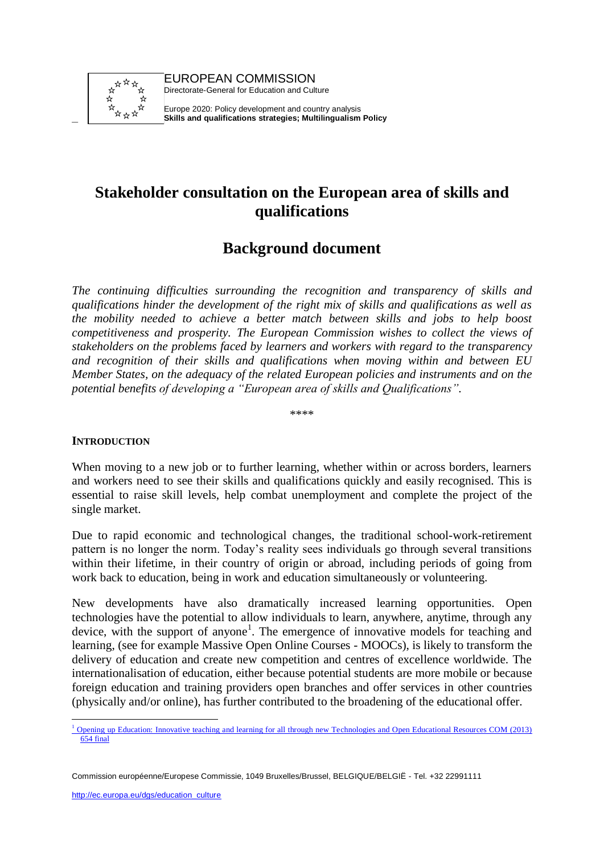

–

EUROPEAN COMMISSION Directorate-General for Education and Culture

Europe 2020: Policy development and country analysis **Skills and qualifications strategies; Multilingualism Policy**

# **Stakeholder consultation on the European area of skills and qualifications**

# **Background document**

*The continuing difficulties surrounding the recognition and transparency of skills and qualifications hinder the development of the right mix of skills and qualifications as well as the mobility needed to achieve a better match between skills and jobs to help boost competitiveness and prosperity. The European Commission wishes to collect the views of stakeholders on the problems faced by learners and workers with regard to the transparency and recognition of their skills and qualifications when moving within and between EU Member States, on the adequacy of the related European policies and instruments and on the potential benefits of developing a "European area of skills and Qualifications".* 

\*\*\*\*

#### **INTRODUCTION**

When moving to a new job or to further learning, whether within or across borders, learners and workers need to see their skills and qualifications quickly and easily recognised. This is essential to raise skill levels, help combat unemployment and complete the project of the single market.

Due to rapid economic and technological changes, the traditional school-work-retirement pattern is no longer the norm. Today's reality sees individuals go through several transitions within their lifetime, in their country of origin or abroad, including periods of going from work back to education, being in work and education simultaneously or volunteering.

New developments have also dramatically increased learning opportunities. Open technologies have the potential to allow individuals to learn, anywhere, anytime, through any device, with the support of anyone<sup>1</sup>. The emergence of innovative models for teaching and learning, (see for example Massive Open Online Courses - MOOCs), is likely to transform the delivery of education and create new competition and centres of excellence worldwide. The internationalisation of education, either because potential students are more mobile or because foreign education and training providers open branches and offer services in other countries (physically and/or online), has further contributed to the broadening of the educational offer.

 <sup>1</sup> [Opening up Education: Innovative teaching and learning for all through new Technologies and Open](http://ec.europa.eu/education/news/doc/openingcom_en.pdf) Educational Resources COM (2013) [654 final](http://ec.europa.eu/education/news/doc/openingcom_en.pdf)

Commission européenne/Europese Commissie, 1049 Bruxelles/Brussel, BELGIQUE/BELGIË - Tel. +32 22991111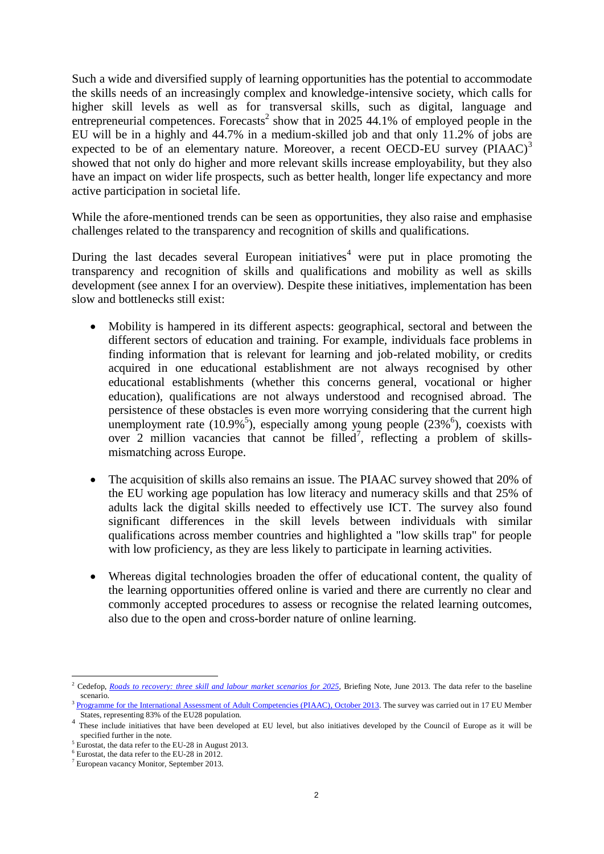Such a wide and diversified supply of learning opportunities has the potential to accommodate the skills needs of an increasingly complex and knowledge-intensive society, which calls for higher skill levels as well as for transversal skills, such as digital, language and entrepreneurial competences. Forecasts<sup>2</sup> show that in 2025 44.1% of employed people in the EU will be in a highly and 44.7% in a medium-skilled job and that only 11.2% of jobs are expected to be of an elementary nature. Moreover, a recent OECD-EU survey  $(PIAAC)^3$ showed that not only do higher and more relevant skills increase employability, but they also have an impact on wider life prospects, such as better health, longer life expectancy and more active participation in societal life.

While the afore-mentioned trends can be seen as opportunities, they also raise and emphasise challenges related to the transparency and recognition of skills and qualifications.

During the last decades several European initiatives<sup>4</sup> were put in place promoting the transparency and recognition of skills and qualifications and mobility as well as skills development (see annex I for an overview). Despite these initiatives, implementation has been slow and bottlenecks still exist:

- Mobility is hampered in its different aspects: geographical, sectoral and between the different sectors of education and training. For example, individuals face problems in finding information that is relevant for learning and job-related mobility, or credits acquired in one educational establishment are not always recognised by other educational establishments (whether this concerns general, vocational or higher education), qualifications are not always understood and recognised abroad. The persistence of these obstacles is even more worrying considering that the current high unemployment rate  $(10.9\%^5)$ , especially among young people  $(23\%^6)$ , coexists with over  $2$  million vacancies that cannot be filled<sup>7</sup>, reflecting a problem of skillsmismatching across Europe.
- The acquisition of skills also remains an issue. The PIAAC survey showed that 20% of the EU working age population has low literacy and numeracy skills and that 25% of adults lack the digital skills needed to effectively use ICT. The survey also found significant differences in the skill levels between individuals with similar qualifications across member countries and highlighted a "low skills trap" for people with low proficiency, as they are less likely to participate in learning activities.
- Whereas digital technologies broaden the offer of educational content, the quality of the learning opportunities offered online is varied and there are currently no clear and commonly accepted procedures to assess or recognise the related learning outcomes, also due to the open and cross-border nature of online learning.

<sup>&</sup>lt;sup>2</sup> Cedefop, *[Roads to recovery: three skill and labour market scenarios for 2025](http://www.cedefop.europa.eu/EN/Files/9081_en.pdf)*, Briefing Note, June 2013. The data refer to the baseline scenario.

<sup>3</sup> [Programme for the International Assessment of Adult Competencies \(PIAAC\), October 2013.](http://skills.oecd.org/skillsoutlook.html) The survey was carried out in 17 EU Member States, representing 83% of the EU28 population.

<sup>&</sup>lt;sup>4</sup> These include initiatives that have been developed at EU level, but also initiatives developed by the Council of Europe as it will be specified further in the note.

<sup>&</sup>lt;sup>5</sup> Eurostat, the data refer to the EU-28 in August 2013.

<sup>6</sup> Eurostat, the data refer to the EU-28 in 2012.

<sup>7</sup> European vacancy Monitor, September 2013.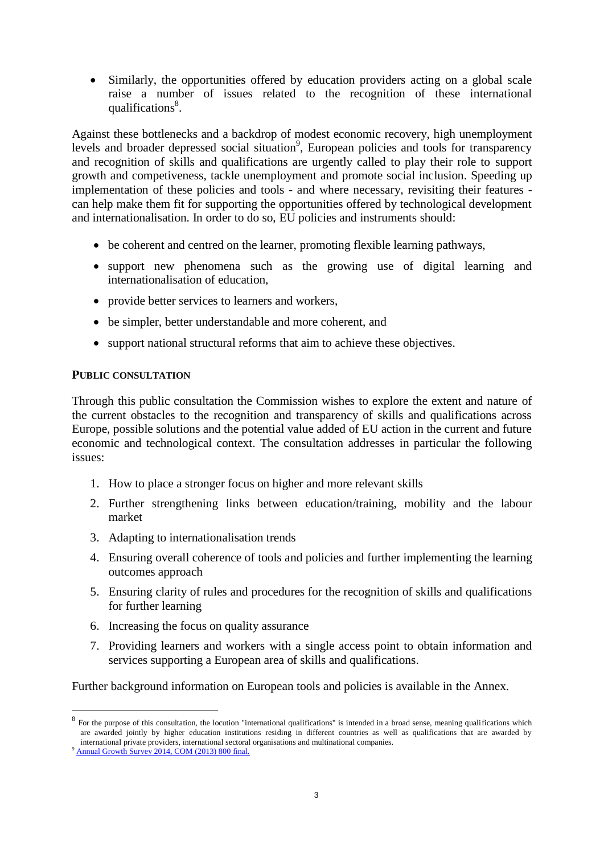Similarly, the opportunities offered by education providers acting on a global scale raise a number of issues related to the recognition of these international qualifications<sup>8</sup>.

Against these bottlenecks and a backdrop of modest economic recovery, high unemployment levels and broader depressed social situation<sup>9</sup>, European policies and tools for transparency and recognition of skills and qualifications are urgently called to play their role to support growth and competiveness, tackle unemployment and promote social inclusion. Speeding up implementation of these policies and tools - and where necessary, revisiting their features can help make them fit for supporting the opportunities offered by technological development and internationalisation. In order to do so, EU policies and instruments should:

- be coherent and centred on the learner, promoting flexible learning pathways,
- support new phenomena such as the growing use of digital learning and internationalisation of education,
- provide better services to learners and workers,
- be simpler, better understandable and more coherent, and
- support national structural reforms that aim to achieve these objectives.

#### **PUBLIC CONSULTATION**

Through this public consultation the Commission wishes to explore the extent and nature of the current obstacles to the recognition and transparency of skills and qualifications across Europe, possible solutions and the potential value added of EU action in the current and future economic and technological context. The consultation addresses in particular the following issues:

- 1. How to place a stronger focus on higher and more relevant skills
- 2. Further strengthening links between education/training, mobility and the labour market
- 3. Adapting to internationalisation trends
- 4. Ensuring overall coherence of tools and policies and further implementing the learning outcomes approach
- 5. Ensuring clarity of rules and procedures for the recognition of skills and qualifications for further learning
- 6. Increasing the focus on quality assurance
- 7. Providing learners and workers with a single access point to obtain information and services supporting a European area of skills and qualifications.

Further background information on European tools and policies is available in the [Annex.](#page-13-0)

 $8\,$  For the purpose of this consultation, the locution "international qualifications" is intended in a broad sense, meaning qualifications which are awarded jointly by higher education institutions residing in different countries as well as qualifications that are awarded by international private providers, international sectoral organisations and multinational companies.

<sup>&</sup>lt;sup>9</sup> [Annual Growth Survey 2014, COM](http://ec.europa.eu/europe2020/pdf/2014/ags2014_en.pdf) (2013) 800 final.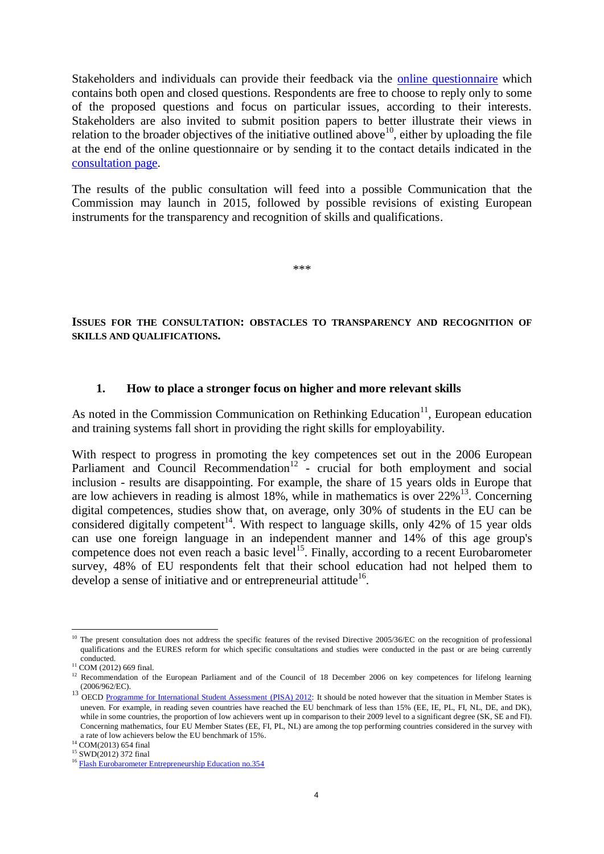Stakeholders and individuals can provide their feedback via the [online questionnaire](http://ec.europa.eu/eusurvey/runner/EASQsurvey2013) which contains both open and closed questions. Respondents are free to choose to reply only to some of the proposed questions and focus on particular issues, according to their interests. Stakeholders are also invited to submit position papers to better illustrate their views in relation to the broader objectives of the initiative outlined above  $10^{\circ}$ , either by uploading the file at the end of the online questionnaire or by sending it to the contact details indicated in the [consultation page.](http://ec.europa.eu/dgs/education_culture/consult/skills-and-qualifications_en.htm)

The results of the public consultation will feed into a possible Communication that the Commission may launch in 2015, followed by possible revisions of existing European instruments for the transparency and recognition of skills and qualifications.

\*\*\*

**ISSUES FOR THE CONSULTATION: OBSTACLES TO TRANSPARENCY AND RECOGNITION OF SKILLS AND QUALIFICATIONS.**

#### **1. How to place a stronger focus on higher and more relevant skills**

As noted in the Commission Communication on Rethinking Education<sup>11</sup>, European education and training systems fall short in providing the right skills for employability.

With respect to progress in promoting the key competences set out in the 2006 European Parliament and Council Recommendation<sup>12</sup> - crucial for both employment and social inclusion - results are disappointing. For example, the share of 15 years olds in Europe that are low achievers in reading is almost 18%, while in mathematics is over 22%<sup>13</sup>. Concerning digital competences, studies show that, on average, only 30% of students in the EU can be considered digitally competent<sup>14</sup>. With respect to language skills, only 42% of 15 year olds can use one foreign language in an independent manner and 14% of this age group's competence does not even reach a basic level<sup>15</sup>. Finally, according to a recent Eurobarometer survey, 48% of EU respondents felt that their school education had not helped them to develop a sense of initiative and or entrepreneurial attitude<sup>16</sup>.

 $\overline{a}$  $10$  The present consultation does not address the specific features of the revised Directive 2005/36/EC on the recognition of professional qualifications and the EURES reform for which specific consultations and studies were conducted in the past or are being currently conducted.

<sup>&</sup>lt;sup>11</sup> COM (2012) 669 final.

<sup>&</sup>lt;sup>12</sup> Recommendation of the European Parliament and of the Council of 18 December 2006 on key competences for lifelong learning (2006/962/EC).

<sup>&</sup>lt;sup>13</sup> OECD [Programme for International Student Assessment](http://www.oecd.org/pisa/keyfindings/pisa-2012-results.htm) (PISA) 2012: It should be noted however that the situation in Member States is uneven. For example, in reading seven countries have reached the EU benchmark of less than 15% (EE, IE, PL, FI, NL, DE, and DK), while in some countries, the proportion of low achievers went up in comparison to their 2009 level to a significant degree (SK, SE and FI). Concerning mathematics, four EU Member States (EE, FI, PL, NL) are among the top performing countries considered in the survey with a rate of low achievers below the EU benchmark of 15%.

<sup>14</sup> COM(2013) 654 final

<sup>&</sup>lt;sup>15</sup> SWD(2012) 372 final

<sup>&</sup>lt;sup>16</sup> [Flash Eurobarometer Entrepreneurship Education no.354](http://ec.europa.eu/public_opinion/flash/fl_354_en.pdf)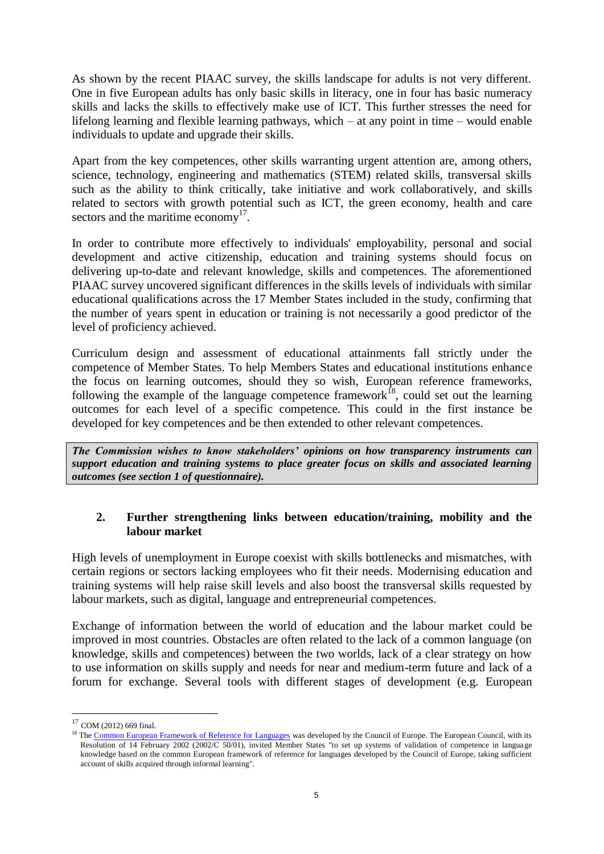As shown by the recent PIAAC survey, the skills landscape for adults is not very different. One in five European adults has only basic skills in literacy, one in four has basic numeracy skills and lacks the skills to effectively make use of ICT. This further stresses the need for lifelong learning and flexible learning pathways, which – at any point in time – would enable individuals to update and upgrade their skills.

Apart from the key competences, other skills warranting urgent attention are, among others, science, technology, engineering and mathematics (STEM) related skills, transversal skills such as the ability to think critically, take initiative and work collaboratively, and skills related to sectors with growth potential such as ICT, the green economy, health and care sectors and the maritime economy $17$ .

In order to contribute more effectively to individuals' employability, personal and social development and active citizenship, education and training systems should focus on delivering up-to-date and relevant knowledge, skills and competences. The aforementioned PIAAC survey uncovered significant differences in the skills levels of individuals with similar educational qualifications across the 17 Member States included in the study, confirming that the number of years spent in education or training is not necessarily a good predictor of the level of proficiency achieved.

Curriculum design and assessment of educational attainments fall strictly under the competence of Member States. To help Members States and educational institutions enhance the focus on learning outcomes, should they so wish, European reference frameworks, following the example of the language competence framework<sup>18</sup>, could set out the learning outcomes for each level of a specific competence. This could in the first instance be developed for key competences and be then extended to other relevant competences.

*The Commission wishes to know stakeholders' opinions on how transparency instruments can support education and training systems to place greater focus on skills and associated learning outcomes (see section 1 of questionnaire).*

#### **2. Further strengthening links between education/training, mobility and the labour market**

High levels of unemployment in Europe coexist with skills bottlenecks and mismatches, with certain regions or sectors lacking employees who fit their needs. Modernising education and training systems will help raise skill levels and also boost the transversal skills requested by labour markets, such as digital, language and entrepreneurial competences.

Exchange of information between the world of education and the labour market could be improved in most countries. Obstacles are often related to the lack of a common language (on knowledge, skills and competences) between the two worlds, lack of a clear strategy on how to use information on skills supply and needs for near and medium-term future and lack of a forum for exchange. Several tools with different stages of development (e.g. European

 $17$  COM (2012) 669 final.

<sup>&</sup>lt;sup>18</sup> Th[e Common European Framework of Reference for Languages](http://www.coe.int/t/dg4/linguistic/source/framework_en.pdf) was developed by the Council of Europe. The European Council, with its Resolution of 14 February 2002 (2002/C 50/01), invited Member States "to set up systems of validation of competence in language knowledge based on the common European framework of reference for languages developed by the Council of Europe, taking sufficient account of skills acquired through informal learning".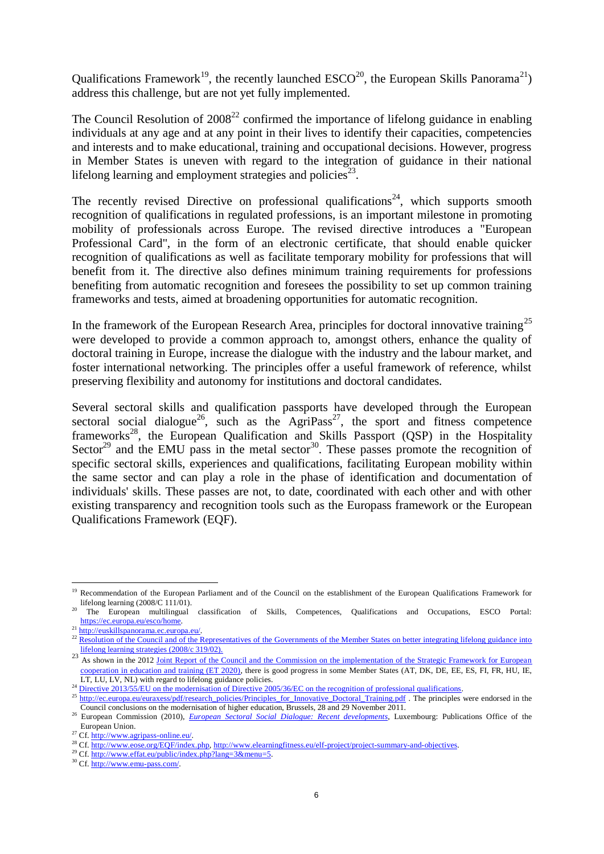Qualifications Framework<sup>19</sup>, the recently launched  $\text{ESCO}^{20}$ , the European Skills Panorama<sup>21</sup>) address this challenge, but are not yet fully implemented.

The Council Resolution of  $2008^{22}$  confirmed the importance of lifelong guidance in enabling individuals at any age and at any point in their lives to identify their capacities, competencies and interests and to make educational, training and occupational decisions. However, progress in Member States is uneven with regard to the integration of guidance in their national lifelong learning and employment strategies and policies $23$ .

The recently revised Directive on professional qualifications<sup>24</sup>, which supports smooth recognition of qualifications in regulated professions, is an important milestone in promoting mobility of professionals across Europe. The revised directive introduces a "European Professional Card", in the form of an electronic certificate, that should enable quicker recognition of qualifications as well as facilitate temporary mobility for professions that will benefit from it. The directive also defines minimum training requirements for professions benefiting from automatic recognition and foresees the possibility to set up common training frameworks and tests, aimed at broadening opportunities for automatic recognition.

In the framework of the European Research Area, principles for doctoral innovative training<sup>25</sup> were developed to provide a common approach to, amongst others, enhance the quality of doctoral training in Europe, increase the dialogue with the industry and the labour market, and foster international networking. The principles offer a useful framework of reference, whilst preserving flexibility and autonomy for institutions and doctoral candidates.

Several sectoral skills and qualification passports have developed through the European sectoral social dialogue<sup>26</sup>, such as the AgriPass<sup>27</sup>, the sport and fitness competence frameworks<sup>28</sup>, the European Qualification and Skills Passport (QSP) in the Hospitality Sector<sup>29</sup> and the EMU pass in the metal sector<sup>30</sup>. These passes promote the recognition of specific sectoral skills, experiences and qualifications, facilitating European mobility within the same sector and can play a role in the phase of identification and documentation of individuals' skills. These passes are not, to date, coordinated with each other and with other existing transparency and recognition tools such as the Europass framework or the European Qualifications Framework (EQF).

<sup>&</sup>lt;sup>19</sup> Recommendation of the European Parliament and of the Council on the establishment of the European Qualifications Framework for lifelong learning  $(2008/C 111/01)$ .

<sup>20</sup> The European multilingual classification of Skills, Competences, Qualifications and Occupations, ESCO Portal: [https://ec.europa.eu/esco/home.](https://ec.europa.eu/esco/home)

<sup>&</sup>lt;sup>21</sup> http://euskillspanorama.ec.europa.eu/

<sup>&</sup>lt;sup>22</sup> Resolution of the Council and of the Representatives of the Governments of the Member States on better integrating lifelong guidance into [lifelong learning strategies \(2008/c 319/02\).](http://eur-lex.europa.eu/LexUriServ/LexUriServ.do?uri=OJ:C:2008:319:0004:0007:EN:pdf)

<sup>&</sup>lt;sup>23</sup> As shown in the 2012 Joint Report of the Council and the Commission on the implementation of the Strategic Framework for European [cooperation in education and training \(ET 2020\),](http://eur-lex.europa.eu/LexUriServ/LexUriServ.do?uri=OJ:C:2012:070:0009:0018:EN:PDF) there is good progress in some Member States (AT, DK, DE, EE, ES, FI, FR, HU, IE, LT, LU, LV, NL) with regard to lifelong guidance policies.

<sup>&</sup>lt;sup>24</sup> [Directive 2013/55/EU on the modernisation of Directive 2005/36/EC on the recognition of professional qualifications.](http://www.parlament.gv.at/PAKT/EU/XXV/EU/00/29/EU_02996/imfname_10423779.pdf)

 $25 \frac{\text{interior}}{\text{http://ec.europa.eu/euraxes/gdf/research}}$  policies/Principles\_for\_Innovative\_Doctoral\_Training.pdf . The principles were endorsed in the Council conclusions on the modernisation of higher education, Brussels, 28 and 29 November 2011.

<sup>&</sup>lt;sup>26</sup> European Commission (2010), *[European Sectoral Social Dialogue: Recent developments](http://ec.europa.eu/social/main.jsp?catId=329&langId=en&pubId=570&type=2&furtherPubs=yes)*, Luxembourg: Publications Office of the European Union.

<sup>27</sup> Cf. [http://www.agripass-online.eu/.](http://www.agripass-online.eu/)

<sup>&</sup>lt;sup>28</sup> Cf. [http://www.eose.org/EQF/index.php,](http://www.eose.org/EQF/index.php) [http://www.elearningfitness.eu/elf-project/project-summary-and-objectives.](http://www.elearningfitness.eu/elf-project/project-summary-and-objectives)

<sup>&</sup>lt;sup>29</sup> Cf. [http://www.effat.eu/public/index.php?lang=3&menu=5.](http://www.effat.eu/public/index.php?lang=3&menu=5)

<sup>30</sup> Cf. [http://www.emu-pass.com/.](http://www.emu-pass.com/)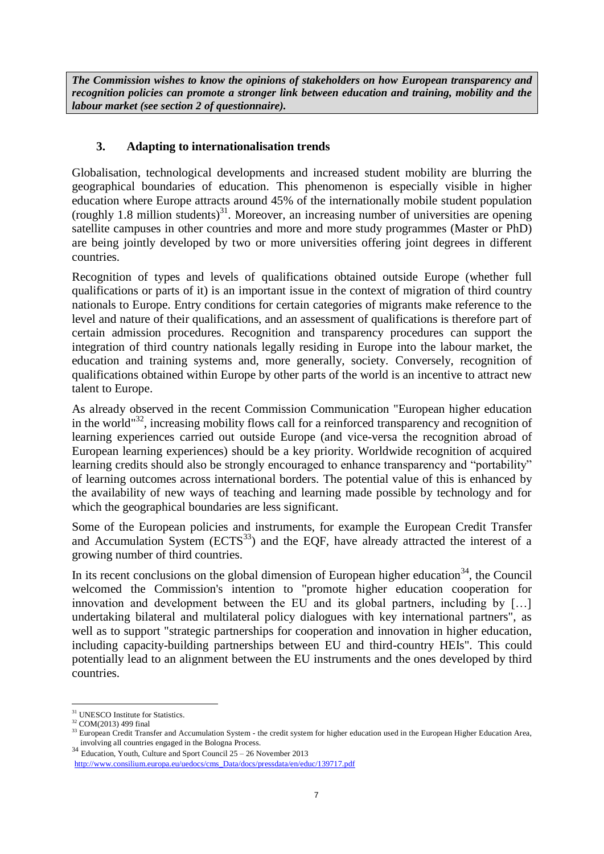*The Commission wishes to know the opinions of stakeholders on how European transparency and recognition policies can promote a stronger link between education and training, mobility and the labour market (see section 2 of questionnaire).*

### **3. Adapting to internationalisation trends**

Globalisation, technological developments and increased student mobility are blurring the geographical boundaries of education. This phenomenon is especially visible in higher education where Europe attracts around 45% of the internationally mobile student population (roughly 1.8 million students) $31$ . Moreover, an increasing number of universities are opening satellite campuses in other countries and more and more study programmes (Master or PhD) are being jointly developed by two or more universities offering joint degrees in different countries.

Recognition of types and levels of qualifications obtained outside Europe (whether full qualifications or parts of it) is an important issue in the context of migration of third country nationals to Europe. Entry conditions for certain categories of migrants make reference to the level and nature of their qualifications, and an assessment of qualifications is therefore part of certain admission procedures. Recognition and transparency procedures can support the integration of third country nationals legally residing in Europe into the labour market, the education and training systems and, more generally, society. Conversely, recognition of qualifications obtained within Europe by other parts of the world is an incentive to attract new talent to Europe.

As already observed in the recent Commission Communication "European higher education in the world<sup>"32</sup>, increasing mobility flows call for a reinforced transparency and recognition of learning experiences carried out outside Europe (and vice-versa the recognition abroad of European learning experiences) should be a key priority. Worldwide recognition of acquired learning credits should also be strongly encouraged to enhance transparency and "portability" of learning outcomes across international borders. The potential value of this is enhanced by the availability of new ways of teaching and learning made possible by technology and for which the geographical boundaries are less significant.

Some of the European policies and instruments, for example the European Credit Transfer and Accumulation System  $(ECTS<sup>33</sup>)$  and the EQF, have already attracted the interest of a growing number of third countries.

In its recent conclusions on the global dimension of European higher education<sup>34</sup>, the Council welcomed the Commission's intention to "promote higher education cooperation for innovation and development between the EU and its global partners, including by […] undertaking bilateral and multilateral policy dialogues with key international partners", as well as to support "strategic partnerships for cooperation and innovation in higher education, including capacity-building partnerships between EU and third-country HEIs". This could potentially lead to an alignment between the EU instruments and the ones developed by third countries.

 $\overline{a}$ <sup>31</sup> UNESCO Institute for Statistics.

<sup>32</sup> COM(2013) 499 final

European Credit Transfer and Accumulation System - the credit system for higher education used in the European Higher Education Area, involving all countries engaged in the Bologna Process.

<sup>34</sup> Education, Youth, Culture and Sport Council 25 – 26 November 2013 [http://www.consilium.europa.eu/uedocs/cms\\_Data/docs/pressdata/en/educ/139717.pdf](http://www.consilium.europa.eu/uedocs/cms_Data/docs/pressdata/en/educ/139717.pdf)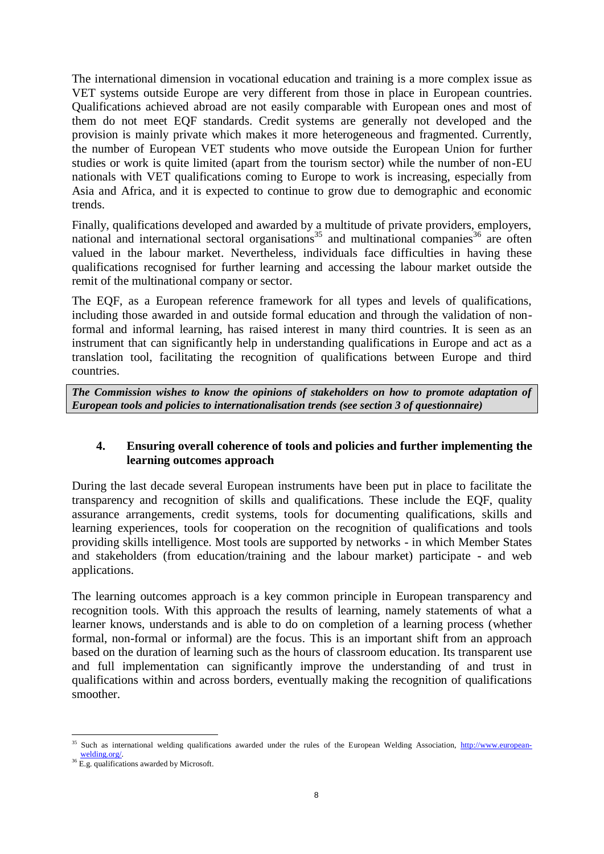The international dimension in vocational education and training is a more complex issue as VET systems outside Europe are very different from those in place in European countries. Qualifications achieved abroad are not easily comparable with European ones and most of them do not meet EQF standards. Credit systems are generally not developed and the provision is mainly private which makes it more heterogeneous and fragmented. Currently, the number of European VET students who move outside the European Union for further studies or work is quite limited (apart from the tourism sector) while the number of non-EU nationals with VET qualifications coming to Europe to work is increasing, especially from Asia and Africa, and it is expected to continue to grow due to demographic and economic trends.

Finally, qualifications developed and awarded by a multitude of private providers, employers, national and international sectoral organisations<sup>35</sup> and multinational companies<sup>36</sup> are often valued in the labour market. Nevertheless, individuals face difficulties in having these qualifications recognised for further learning and accessing the labour market outside the remit of the multinational company or sector.

The EQF, as a European reference framework for all types and levels of qualifications, including those awarded in and outside formal education and through the validation of nonformal and informal learning, has raised interest in many third countries. It is seen as an instrument that can significantly help in understanding qualifications in Europe and act as a translation tool, facilitating the recognition of qualifications between Europe and third countries.

*The Commission wishes to know the opinions of stakeholders on how to promote adaptation of European tools and policies to internationalisation trends (see section 3 of questionnaire)*

#### **4. Ensuring overall coherence of tools and policies and further implementing the learning outcomes approach**

During the last decade several European instruments have been put in place to facilitate the transparency and recognition of skills and qualifications. These include the EQF, quality assurance arrangements, credit systems, tools for documenting qualifications, skills and learning experiences, tools for cooperation on the recognition of qualifications and tools providing skills intelligence. Most tools are supported by networks - in which Member States and stakeholders (from education/training and the labour market) participate - and web applications.

The learning outcomes approach is a key common principle in European transparency and recognition tools. With this approach the results of learning, namely statements of what a learner knows, understands and is able to do on completion of a learning process (whether formal, non-formal or informal) are the focus. This is an important shift from an approach based on the duration of learning such as the hours of classroom education. Its transparent use and full implementation can significantly improve the understanding of and trust in qualifications within and across borders, eventually making the recognition of qualifications smoother.

 $\overline{a}$ <sup>35</sup> Such as international welding qualifications awarded under the rules of the European Welding Association, [http://www.european](http://www.european-welding.org/)[welding.org/.](http://www.european-welding.org/)

<sup>&</sup>lt;sup>36</sup> E.g. qualifications awarded by Microsoft.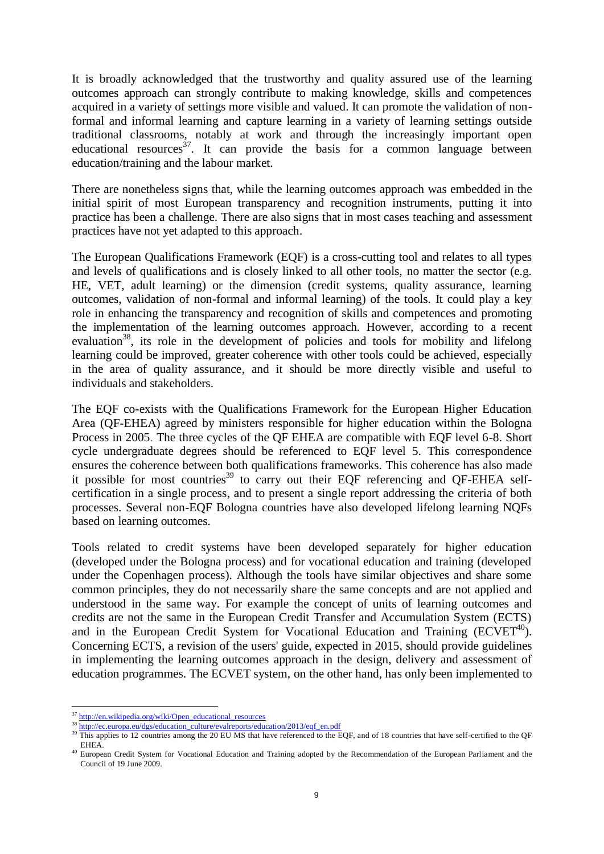It is broadly acknowledged that the trustworthy and quality assured use of the learning outcomes approach can strongly contribute to making knowledge, skills and competences acquired in a variety of settings more visible and valued. It can promote the validation of nonformal and informal learning and capture learning in a variety of learning settings outside traditional classrooms, notably at work and through the increasingly important open educational resources<sup>37</sup>. It can provide the basis for a common language between education/training and the labour market.

There are nonetheless signs that, while the learning outcomes approach was embedded in the initial spirit of most European transparency and recognition instruments, putting it into practice has been a challenge. There are also signs that in most cases teaching and assessment practices have not yet adapted to this approach.

The European Qualifications Framework (EQF) is a cross-cutting tool and relates to all types and levels of qualifications and is closely linked to all other tools, no matter the sector (e.g. HE, VET, adult learning) or the dimension (credit systems, quality assurance, learning outcomes, validation of non-formal and informal learning) of the tools. It could play a key role in enhancing the transparency and recognition of skills and competences and promoting the implementation of the learning outcomes approach. However, according to a recent evaluation<sup>38</sup>, its role in the development of policies and tools for mobility and lifelong learning could be improved, greater coherence with other tools could be achieved, especially in the area of quality assurance, and it should be more directly visible and useful to individuals and stakeholders.

The EQF co-exists with the Qualifications Framework for the European Higher Education Area (QF-EHEA) agreed by ministers responsible for higher education within the Bologna Process in 2005. The three cycles of the QF EHEA are compatible with EQF level 6-8. Short cycle undergraduate degrees should be referenced to EQF level 5. This correspondence ensures the coherence between both qualifications frameworks. This coherence has also made it possible for most countries<sup>39</sup> to carry out their EQF referencing and QF-EHEA selfcertification in a single process, and to present a single report addressing the criteria of both processes. Several non-EQF Bologna countries have also developed lifelong learning NQFs based on learning outcomes.

Tools related to credit systems have been developed separately for higher education (developed under the Bologna process) and for vocational education and training (developed under the Copenhagen process). Although the tools have similar objectives and share some common principles, they do not necessarily share the same concepts and are not applied and understood in the same way. For example the concept of units of learning outcomes and credits are not the same in the European Credit Transfer and Accumulation System (ECTS) and in the European Credit System for Vocational Education and Training  $(ECVET^{40})$ . Concerning ECTS, a revision of the users' guide, expected in 2015, should provide guidelines in implementing the learning outcomes approach in the design, delivery and assessment of education programmes. The ECVET system, on the other hand, has only been implemented to

 <sup>37</sup> [http://en.wikipedia.org/wiki/Open\\_educational\\_resources](http://en.wikipedia.org/wiki/Open_educational_resources)

<sup>&</sup>lt;sup>38</sup> [http://ec.europa.eu/dgs/education\\_culture/evalreports/education/2013/eqf\\_en.pdf](http://ec.europa.eu/dgs/education_culture/evalreports/education/2013/eqf_en.pdf)<br><sup>39</sup> ELi

This applies to 12 countries among the 20 EU MS that have referenced to the EQF, and of 18 countries that have self-certified to the QF EHEA.

<sup>40</sup> European Credit System for Vocational Education and Training adopted by the Recommendation of the European Parliament and the Council of 19 June 2009.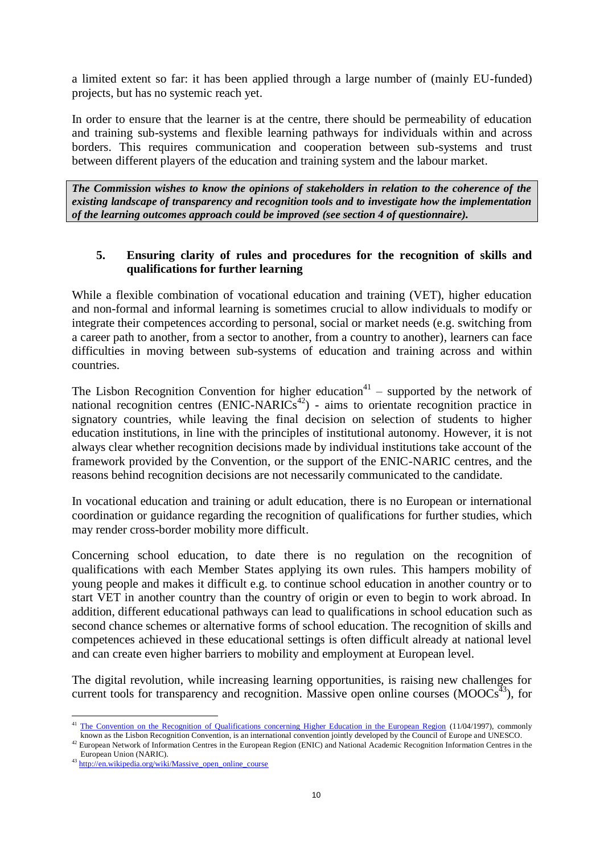a limited extent so far: it has been applied through a large number of (mainly EU-funded) projects, but has no systemic reach yet.

In order to ensure that the learner is at the centre, there should be permeability of education and training sub-systems and flexible learning pathways for individuals within and across borders. This requires communication and cooperation between sub-systems and trust between different players of the education and training system and the labour market.

*The Commission wishes to know the opinions of stakeholders in relation to the coherence of the existing landscape of transparency and recognition tools and to investigate how the implementation of the learning outcomes approach could be improved (see section 4 of questionnaire).*

#### **5. Ensuring clarity of rules and procedures for the recognition of skills and qualifications for further learning**

While a flexible combination of vocational education and training (VET), higher education and non-formal and informal learning is sometimes crucial to allow individuals to modify or integrate their competences according to personal, social or market needs (e.g. switching from a career path to another, from a sector to another, from a country to another), learners can face difficulties in moving between sub-systems of education and training across and within countries.

The Lisbon Recognition Convention for higher education<sup>41</sup> – supported by the network of national recognition centres  $(ENIC-NARICs<sup>42</sup>)$  - aims to orientate recognition practice in signatory countries, while leaving the final decision on selection of students to higher education institutions, in line with the principles of institutional autonomy. However, it is not always clear whether recognition decisions made by individual institutions take account of the framework provided by the Convention, or the support of the ENIC-NARIC centres, and the reasons behind recognition decisions are not necessarily communicated to the candidate.

In vocational education and training or adult education, there is no European or international coordination or guidance regarding the recognition of qualifications for further studies, which may render cross-border mobility more difficult.

Concerning school education, to date there is no regulation on the recognition of qualifications with each Member States applying its own rules. This hampers mobility of young people and makes it difficult e.g. to continue school education in another country or to start VET in another country than the country of origin or even to begin to work abroad. In addition, different educational pathways can lead to qualifications in school education such as second chance schemes or alternative forms of school education. The recognition of skills and competences achieved in these educational settings is often difficult already at national level and can create even higher barriers to mobility and employment at European level.

The digital revolution, while increasing learning opportunities, is raising new challenges for current tools for transparency and recognition. Massive open online courses ( $MOOCs<sup>43</sup>$ ), for

 $\overline{a}$ <sup>41</sup> [The Convention on the Recognition of Qualifications concerning Higher Education in the European Region](http://conventions.coe.int/Treaty/en/Treaties/Html/165.htm) (11/04/1997), commonly known as the Lisbon Recognition Convention, is an international convention jointly developed by the Council of Europe and UNESCO.

<sup>&</sup>lt;sup>42</sup> European Network of Information Centres in the European Region (ENIC) and National Academic Recognition Information Centres in the European Union (NARIC).

<sup>43</sup> [http://en.wikipedia.org/wiki/Massive\\_open\\_online\\_course](http://en.wikipedia.org/wiki/Massive_open_online_course)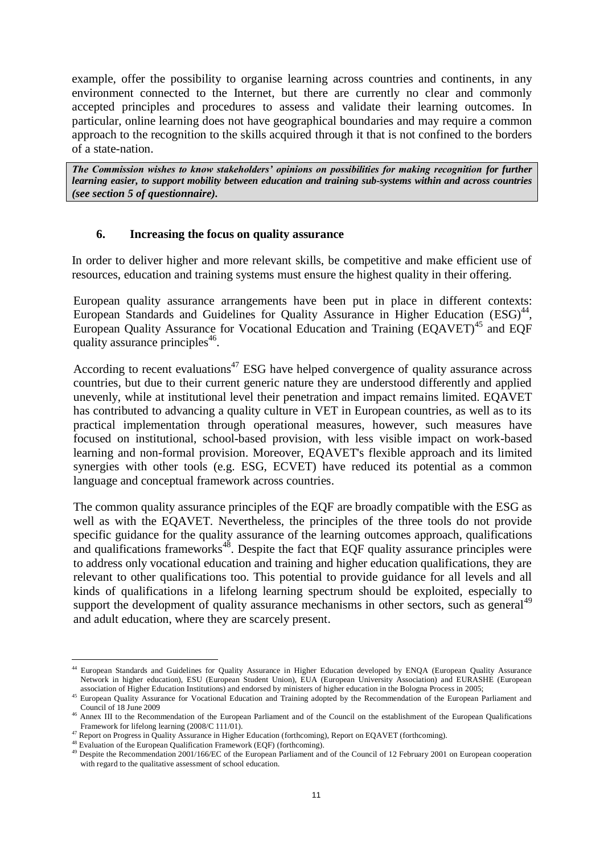example, offer the possibility to organise learning across countries and continents, in any environment connected to the Internet, but there are currently no clear and commonly accepted principles and procedures to assess and validate their learning outcomes. In particular, online learning does not have geographical boundaries and may require a common approach to the recognition to the skills acquired through it that is not confined to the borders of a state-nation.

*The Commission wishes to know stakeholders' opinions on possibilities for making recognition for further learning easier, to support mobility between education and training sub-systems within and across countries (see section 5 of questionnaire).*

#### **6. Increasing the focus on quality assurance**

In order to deliver higher and more relevant skills, be competitive and make efficient use of resources, education and training systems must ensure the highest quality in their offering.

European quality assurance arrangements have been put in place in different contexts: European Standards and Guidelines for Quality Assurance in Higher Education (ESG)<sup>44</sup>, European Quality Assurance for Vocational Education and Training (EQAVET) <sup>45</sup> and EQF quality assurance principles<sup>46</sup>.

According to recent evaluations<sup>47</sup> ESG have helped convergence of quality assurance across countries, but due to their current generic nature they are understood differently and applied unevenly, while at institutional level their penetration and impact remains limited. EQAVET has contributed to advancing a quality culture in VET in European countries, as well as to its practical implementation through operational measures, however, such measures have focused on institutional, school-based provision, with less visible impact on work-based learning and non-formal provision. Moreover, EQAVET's flexible approach and its limited synergies with other tools (e.g. ESG, ECVET) have reduced its potential as a common language and conceptual framework across countries.

The common quality assurance principles of the EQF are broadly compatible with the ESG as well as with the EQAVET. Nevertheless, the principles of the three tools do not provide specific guidance for the quality assurance of the learning outcomes approach, qualifications and qualifications frameworks $48$ . Despite the fact that EQF quality assurance principles were to address only vocational education and training and higher education qualifications, they are relevant to other qualifications too. This potential to provide guidance for all levels and all kinds of qualifications in a lifelong learning spectrum should be exploited, especially to support the development of quality assurance mechanisms in other sectors, such as general<sup>49</sup> and adult education, where they are scarcely present.

<sup>44</sup> European Standards and Guidelines for Quality Assurance in Higher Education developed by ENQA (European Quality Assurance Network in higher education), ESU (European Student Union), EUA (European University Association) and EURASHE (European association of Higher Education Institutions) and endorsed by ministers of higher education in the Bologna Process in 2005;

<sup>45</sup> European Quality Assurance for Vocational Education and Training adopted by the Recommendation of the European Parliament and Council of 18 June 2009

<sup>&</sup>lt;sup>46</sup> Annex III to the Recommendation of the European Parliament and of the Council on the establishment of the European Qualifications Framework for lifelong learning (2008/C 111/01).

<sup>47</sup> Report on Progress in Quality Assurance in Higher Education (forthcoming), Report on EQAVET (forthcoming).

<sup>&</sup>lt;sup>48</sup> Evaluation of the European Qualification Framework (EQF) (forthcoming).

<sup>&</sup>lt;sup>49</sup> Despite the Recommendation 2001/166/EC of the European Parliament and of the Council of 12 February 2001 on European cooperation with regard to the qualitative assessment of school education.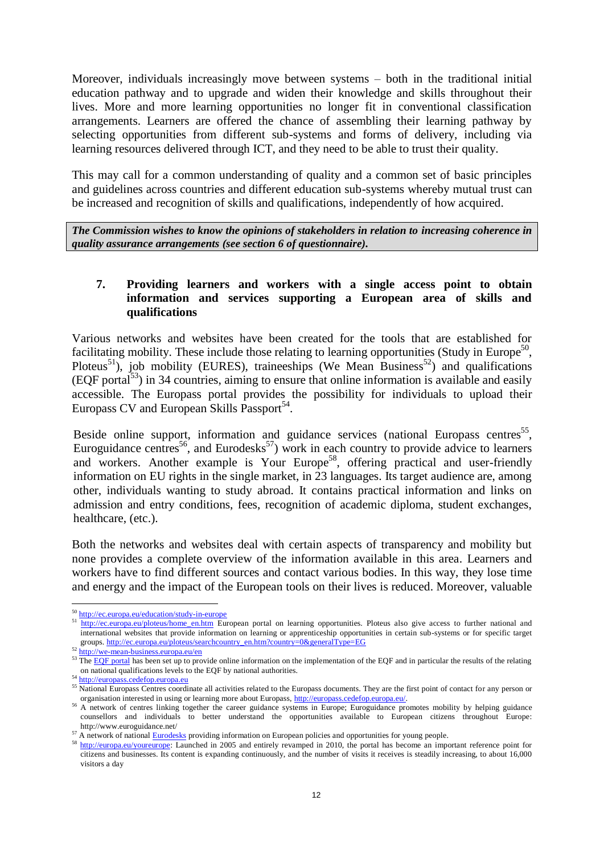Moreover, individuals increasingly move between systems – both in the traditional initial education pathway and to upgrade and widen their knowledge and skills throughout their lives. More and more learning opportunities no longer fit in conventional classification arrangements. Learners are offered the chance of assembling their learning pathway by selecting opportunities from different sub-systems and forms of delivery, including via learning resources delivered through ICT, and they need to be able to trust their quality.

This may call for a common understanding of quality and a common set of basic principles and guidelines across countries and different education sub-systems whereby mutual trust can be increased and recognition of skills and qualifications, independently of how acquired.

*The Commission wishes to know the opinions of stakeholders in relation to increasing coherence in quality assurance arrangements (see section 6 of questionnaire).*

#### **7. Providing learners and workers with a single access point to obtain information and services supporting a European area of skills and qualifications**

Various networks and websites have been created for the tools that are established for facilitating mobility. These include those relating to learning opportunities (Study in Europe<sup>50</sup>, Ploteus<sup>51</sup>), job mobility (EURES), traineeships (We Mean Business<sup>52</sup>) and qualifications  $(EQF portal<sup>53</sup>)$  in 34 countries, aiming to ensure that online information is available and easily accessible. The Europass portal provides the possibility for individuals to upload their Europass CV and European Skills Passport<sup>54</sup>.

Beside online support, information and guidance services (national Europass centres<sup>55</sup>, Euroguidance centres<sup>56</sup>, and Eurodesks<sup>57</sup>) work in each country to provide advice to learners and workers. Another example is Your Europe<sup>58</sup>, offering practical and user-friendly information on EU rights in the single market, in 23 languages. Its target audience are, among other, individuals wanting to study abroad. It contains practical information and links on admission and entry conditions, fees, recognition of academic diploma, student exchanges, healthcare, (etc.).

Both the networks and websites deal with certain aspects of transparency and mobility but none provides a complete overview of the information available in this area. Learners and workers have to find different sources and contact various bodies. In this way, they lose time and energy and the impact of the European tools on their lives is reduced. Moreover, valuable

<sup>50</sup> <http://ec.europa.eu/education/study-in-europe>

<sup>51</sup> [http://ec.europa.eu/ploteus/home\\_en.htm](http://ec.europa.eu/ploteus/home_en.htm) European portal on learning opportunities. Ploteus also give access to further national and international websites that provide information on learning or apprenticeship opportunities in certain sub-systems or for specific target groups. [http://ec.europa.eu/ploteus/searchcountry\\_en.htm?country=0&generalType=EG](http://ec.europa.eu/ploteus/searchcountry_en.htm?country=0&generalType=EG)

<sup>52</sup> <http://we-mean-business.europa.eu/en>

 $53$  Th[e EQF portal](http://ec.europa.eu/eqf/home_en.htm) has been set up to provide online information on the implementation of the EQF and in particular the results of the relating on national qualifications levels to the EQF by national authorities.

<sup>54</sup> [http://europass.cedefop.europa.eu](http://europass.cedefop.europa.eu/)

<sup>&</sup>lt;sup>55</sup> National Europass Centres coordinate all activities related to the Europass documents. They are the first point of contact for any person or organisation interested in using or learning more about Europass, [http://europass.cedefop.europa.eu/.](http://europass.cedefop.europa.eu/)

<sup>&</sup>lt;sup>56</sup> A network of centres linking together the career guidance systems in Europe; Euroguidance promotes mobility by helping guidance counsellors and individuals to better understand the opportunities available to European citizens throughout Europe: http://www.euroguidance.net/

<sup>&</sup>lt;sup>57</sup> A network of national **Eurodesks** providing information on European policies and opportunities for young people.

<sup>58</sup> [http://europa.eu/youreurope:](http://europa.eu/youreurope) Launched in 2005 and entirely revamped in 2010, the portal has become an important reference point for citizens and businesses. Its content is expanding continuously, and the number of visits it receives is steadily increasing, to about 16,000 visitors a day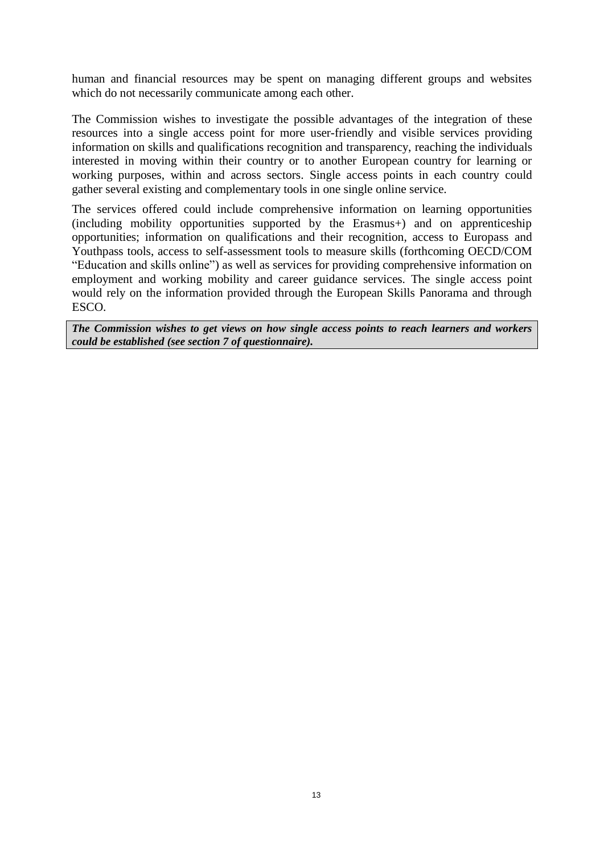human and financial resources may be spent on managing different groups and websites which do not necessarily communicate among each other.

The Commission wishes to investigate the possible advantages of the integration of these resources into a single access point for more user-friendly and visible services providing information on skills and qualifications recognition and transparency, reaching the individuals interested in moving within their country or to another European country for learning or working purposes, within and across sectors. Single access points in each country could gather several existing and complementary tools in one single online service.

The services offered could include comprehensive information on learning opportunities (including mobility opportunities supported by the Erasmus+) and on apprenticeship opportunities; information on qualifications and their recognition, access to Europass and Youthpass tools, access to self-assessment tools to measure skills (forthcoming OECD/COM "Education and skills online") as well as services for providing comprehensive information on employment and working mobility and career guidance services. The single access point would rely on the information provided through the European Skills Panorama and through ESCO.

*The Commission wishes to get views on how single access points to reach learners and workers could be established (see section 7 of questionnaire).*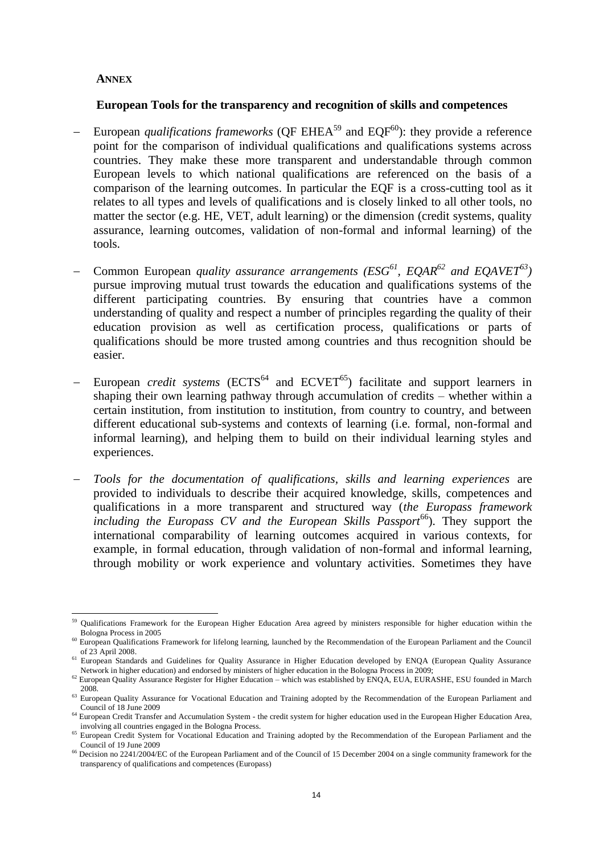#### <span id="page-13-0"></span>**ANNEX**

#### **European Tools for the transparency and recognition of skills and competences**

- European *qualifications frameworks* (OF  $EHEA^{59}$  and  $EOF^{60}$ ): they provide a reference point for the comparison of individual qualifications and qualifications systems across countries. They make these more transparent and understandable through common European levels to which national qualifications are referenced on the basis of a comparison of the learning outcomes. In particular the EQF is a cross-cutting tool as it relates to all types and levels of qualifications and is closely linked to all other tools, no matter the sector (e.g. HE, VET, adult learning) or the dimension (credit systems, quality assurance, learning outcomes, validation of non-formal and informal learning) of the tools.
- Common European *quality assurance arrangements (ESG<sup>61</sup>, EQAR<sup>62</sup> and EQAVET<sup>63</sup>)* pursue improving mutual trust towards the education and qualifications systems of the different participating countries. By ensuring that countries have a common understanding of quality and respect a number of principles regarding the quality of their education provision as well as certification process, qualifications or parts of qualifications should be more trusted among countries and thus recognition should be easier.
- European *credit systems* (ECTS<sup>64</sup> and ECVET<sup>65</sup>) facilitate and support learners in shaping their own learning pathway through accumulation of credits – whether within a certain institution, from institution to institution, from country to country, and between different educational sub-systems and contexts of learning (i.e. formal, non-formal and informal learning), and helping them to build on their individual learning styles and experiences.
- *Tools for the documentation of qualifications, skills and learning experiences* are provided to individuals to describe their acquired knowledge, skills, competences and qualifications in a more transparent and structured way (*the Europass framework including the Europass CV and the European Skills Passport*<sup>66</sup>). They support the international comparability of learning outcomes acquired in various contexts, for example, in formal education, through validation of non-formal and informal learning, through mobility or work experience and voluntary activities. Sometimes they have

 $\overline{a}$ <sup>59</sup> Qualifications Framework for the European Higher Education Area agreed by ministers responsible for higher education within the Bologna Process in 2005

<sup>&</sup>lt;sup>60</sup> European Qualifications Framework for lifelong learning, launched by the Recommendation of the European Parliament and the Council of 23 April 2008.

<sup>&</sup>lt;sup>61</sup> European Standards and Guidelines for Quality Assurance in Higher Education developed by ENQA (European Quality Assurance Network in higher education) and endorsed by ministers of higher education in the Bologna Process in 2009;

<sup>&</sup>lt;sup>62</sup> European Quality Assurance Register for Higher Education – which was established by ENQA, EUA, EURASHE, ESU founded in March 2008.

<sup>&</sup>lt;sup>63</sup> European Quality Assurance for Vocational Education and Training adopted by the Recommendation of the European Parliament and Council of 18 June 2009

<sup>&</sup>lt;sup>64</sup> European Credit Transfer and Accumulation System - the credit system for higher education used in the European Higher Education Area, involving all countries engaged in the Bologna Process.

<sup>&</sup>lt;sup>65</sup> European Credit System for Vocational Education and Training adopted by the Recommendation of the European Parliament and the Council of 19 June 2009

<sup>&</sup>lt;sup>66</sup> Decision no 2241/2004/EC of the European Parliament and of the Council of 15 December 2004 on a single community framework for the transparency of qualifications and competences (Europass)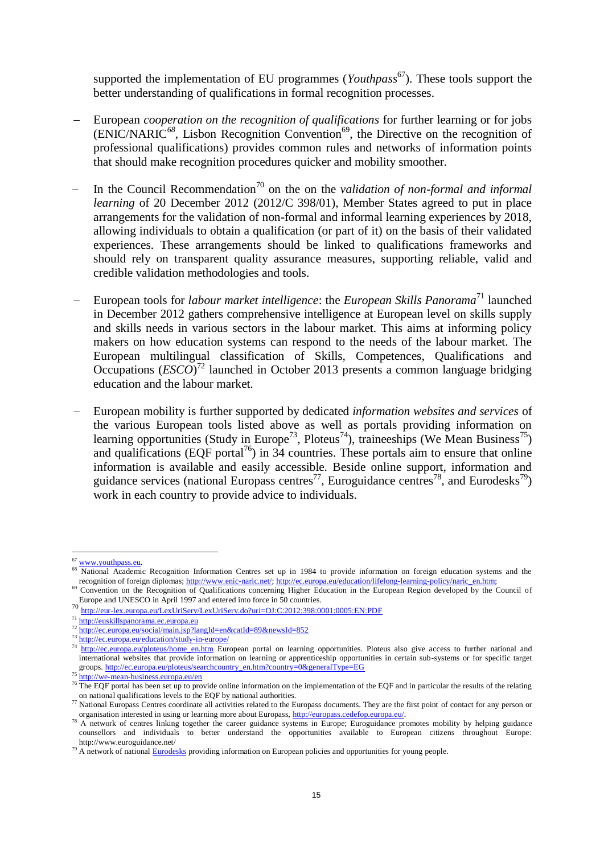supported the implementation of EU programmes (*Youthpass*<sup>67</sup>). These tools support the better understanding of qualifications in formal recognition processes.

- European *cooperation on the recognition of qualifications* for further learning or for jobs  $\overrightarrow{ENIC/NARIC}^{68}$ , Lisbon Recognition Convention<sup>69</sup>, the Directive on the recognition of professional qualifications) provides common rules and networks of information points that should make recognition procedures quicker and mobility smoother.
- In the Council Recommendation<sup>70</sup> on the on the *validation of non-formal and informal learning* of 20 December 2012 (2012/C 398/01), Member States agreed to put in place arrangements for the validation of non-formal and informal learning experiences by 2018, allowing individuals to obtain a qualification (or part of it) on the basis of their validated experiences. These arrangements should be linked to qualifications frameworks and should rely on transparent quality assurance measures, supporting reliable, valid and credible validation methodologies and tools.
- European tools for *labour market intelligence*: the *European Skills Panorama*<sup>71</sup> launched in December 2012 gathers comprehensive intelligence at European level on skills supply and skills needs in various sectors in the labour market. This aims at informing policy makers on how education systems can respond to the needs of the labour market. The European multilingual classification of Skills, Competences, Qualifications and Occupations (*ESCO*)<sup>72</sup> launched in October 2013 presents a common language bridging education and the labour market.
- European mobility is further supported by dedicated *information websites and services* of the various European tools listed above as well as portals providing information on learning opportunities (Study in Europe<sup>73</sup>, Ploteus<sup>74</sup>), traineeships (We Mean Business<sup>75</sup>) and qualifications (EQF portal<sup>76</sup>) in  $34$  countries. These portals aim to ensure that online information is available and easily accessible. Beside online support, information and guidance services (national Europass centres<sup>77</sup>, Euroguidance centres<sup>78</sup>, and Eurodesks<sup>79</sup>) work in each country to provide advice to individuals.

<sup>&</sup>lt;sup>67</sup> [www.youthpass.eu.](http://www.youthpass.eu/)

<sup>&</sup>lt;sup>68</sup> National Academic Recognition Information Centres set up in 1984 to provide information on foreign education systems and the recognition of foreign diplomas[; http://www.enic-naric.net/;](http://www.enic-naric.net/) [http://ec.europa.eu/education/lifelong-learning-policy/naric\\_en.htm;](http://ec.europa.eu/education/lifelong-learning-policy/naric_en.htm)

<sup>&</sup>lt;sup>69</sup> Convention on the Recognition of Qualifications concerning Higher Education in the European Region developed by the Council of Europe and UNESCO in April 1997 and entered into force in 50 countries.

<sup>70</sup> <http://eur-lex.europa.eu/LexUriServ/LexUriServ.do?uri=OJ:C:2012:398:0001:0005:EN:PDF>

<sup>71</sup> [http://euskillspanorama.ec.europa.eu](http://euskillspanorama.ec.europa.eu/)

<sup>72</sup> <http://ec.europa.eu/social/main.jsp?langId=en&catId=89&newsId=852>

<sup>73</sup> <http://ec.europa.eu/education/study-in-europe/>

<sup>&</sup>lt;sup>74</sup> [http://ec.europa.eu/ploteus/home\\_en.htm](http://ec.europa.eu/ploteus/home_en.htm) European portal on learning opportunities. Ploteus also give access to further national and international websites that provide information on learning or apprenticeship opportunities in certain sub-systems or for specific target groups. [http://ec.europa.eu/ploteus/searchcountry\\_en.htm?country=0&generalType=EG](http://ec.europa.eu/ploteus/searchcountry_en.htm?country=0&generalType=EG)

<sup>75</sup> <http://we-mean-business.europa.eu/en>

<sup>&</sup>lt;sup>76</sup> The EQF portal has been set up to provide online information on the implementation of the EQF and in particular the results of the relating on national qualifications levels to the EQF by national authorities.

 $\frac{77}{2}$  National Europass Centres coordinate all activities related to the Europass documents. They are the first point of contact for any person or organisation interested in using or learning more about Europass[, http://europass.cedefop.europa.eu/.](http://europass.cedefop.europa.eu/)

 $78$  A network of centres linking together the career guidance systems in Europe; Euroguidance promotes mobility by helping guidance counsellors and individuals to better understand the opportunities available to European citizens throughout Europe: http://www.euroguidance.net/

<sup>&</sup>lt;sup>79</sup> A network of nationa[l Eurodesks](http://www.eurodesk.org/edesk/) providing information on European policies and opportunities for young people.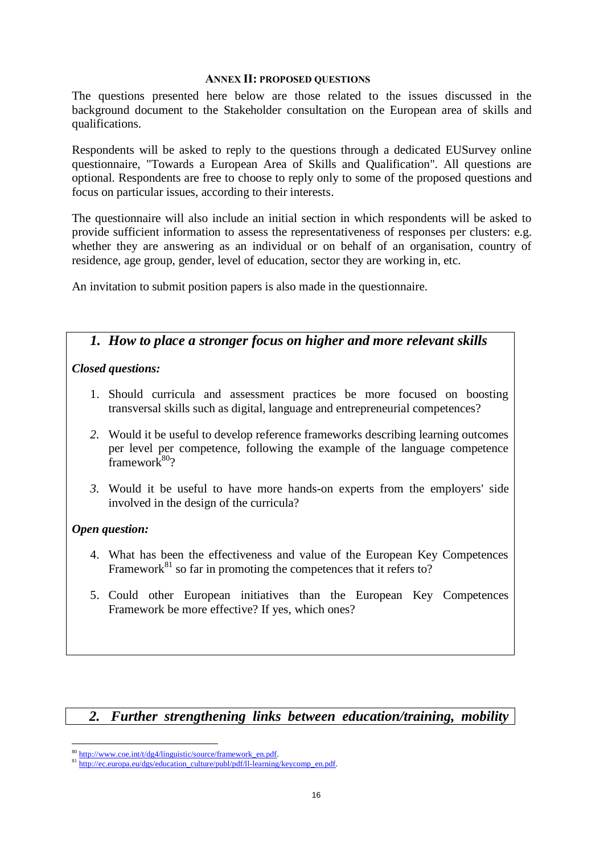#### **ANNEX II: PROPOSED QUESTIONS**

The questions presented here below are those related to the issues discussed in the background document to the Stakeholder consultation on the European area of skills and qualifications.

Respondents will be asked to reply to the questions through a dedicated EUSurvey online questionnaire, "Towards a European Area of Skills and Qualification". All questions are optional. Respondents are free to choose to reply only to some of the proposed questions and focus on particular issues, according to their interests.

The questionnaire will also include an initial section in which respondents will be asked to provide sufficient information to assess the representativeness of responses per clusters: e.g. whether they are answering as an individual or on behalf of an organisation, country of residence, age group, gender, level of education, sector they are working in, etc.

An invitation to submit position papers is also made in the questionnaire.

# *1. How to place a stronger focus on higher and more relevant skills*

#### *Closed questions:*

- 1. Should curricula and assessment practices be more focused on boosting transversal skills such as digital, language and entrepreneurial competences?
- *2.* Would it be useful to develop reference frameworks describing learning outcomes per level per competence, following the example of the language competence  $frac{1}{100}$
- *3.* Would it be useful to have more hands-on experts from the employers' side involved in the design of the curricula?

### *Open question:*

- 4. What has been the effectiveness and value of the European Key Competences Framework<sup>81</sup> so far in promoting the competences that it refers to?
- 5. Could other European initiatives than the European Key Competences Framework be more effective? If yes, which ones?

### *2. Further strengthening links between education/training, mobility*

 $\overline{a}$ <sup>80</sup> [http://www.coe.int/t/dg4/linguistic/source/framework\\_en.pdf.](http://www.coe.int/t/dg4/linguistic/source/framework_en.pdf)

<sup>81</sup> [http://ec.europa.eu/dgs/education\\_culture/publ/pdf/ll-learning/keycomp\\_en.pdf.](http://ec.europa.eu/dgs/education_culture/publ/pdf/ll-learning/keycomp_en.pdf)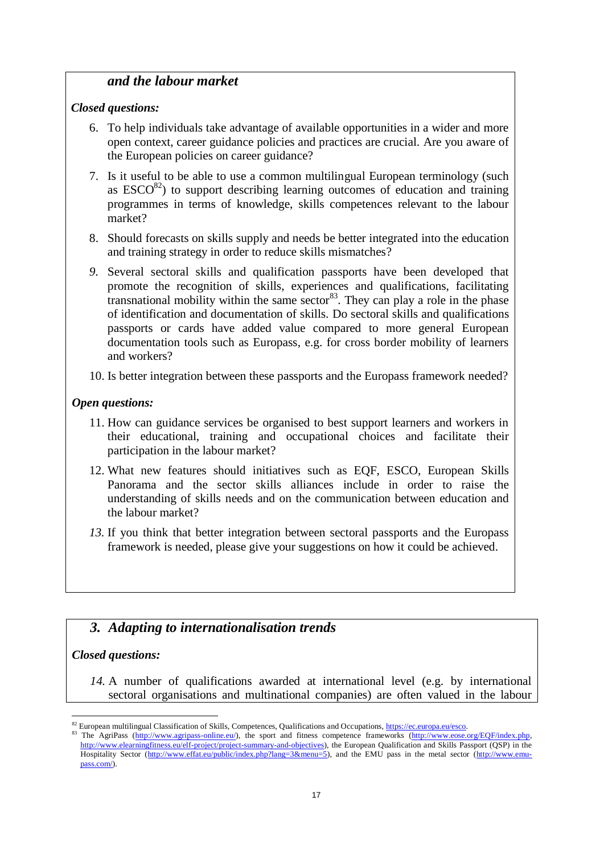## *and the labour market*

#### *1. Closed questions:*

- 6. To help individuals take advantage of available opportunities in a wider and more open context, career guidance policies and practices are crucial. Are you aware of the European policies on career guidance?
- 7. Is it useful to be able to use a common multilingual European terminology (such as  $\text{ESCO}^{82}$ ) to support describing learning outcomes of education and training programmes in terms of knowledge, skills competences relevant to the labour market?
- 8. Should forecasts on skills supply and needs be better integrated into the education and training strategy in order to reduce skills mismatches?
- *9.* Several sectoral skills and qualification passports have been developed that promote the recognition of skills, experiences and qualifications, facilitating transnational mobility within the same sector  $83$ . They can play a role in the phase of identification and documentation of skills. Do sectoral skills and qualifications passports or cards have added value compared to more general European documentation tools such as Europass, e.g. for cross border mobility of learners and workers?
- 10. Is better integration between these passports and the Europass framework needed?

### *Open questions:*

- 11. How can guidance services be organised to best support learners and workers in their educational, training and occupational choices and facilitate their participation in the labour market?
- 12. What new features should initiatives such as EQF, ESCO, European Skills Panorama and the sector skills alliances include in order to raise the understanding of skills needs and on the communication between education and the labour market?
- *13.* If you think that better integration between sectoral passports and the Europass framework is needed, please give your suggestions on how it could be achieved.

# *3. Adapting to internationalisation trends*

### *Closed questions:*

*14.* A number of qualifications awarded at international level (e.g. by international sectoral organisations and multinational companies) are often valued in the labour

 $\overline{a}$ <sup>82</sup> European multilingual Classification of Skills, Competences, Qualifications and Occupations[, https://ec.europa.eu/esco.](https://ec.europa.eu/esco)

<sup>83</sup> The AgriPass [\(http://www.agripass-online.eu/\)](http://www.agripass-online.eu/), the sport and fitness competence frameworks (http://www.eose.org/EQF/index.php, [http://www.elearningfitness.eu/elf-project/project-summary-and-objectives\)](http://www.elearningfitness.eu/elf-project/project-summary-and-objectives), the European Qualification and Skills Passport (QSP) in the Hospitality Sector [\(http://www.effat.eu/public/index.php?lang=3&menu=5\)](http://www.effat.eu/public/index.php?lang=3&menu=5), and the EMU pass in the metal sector [\(http://www.emu](http://www.emu-pass.com/)[pass.com/\)](http://www.emu-pass.com/).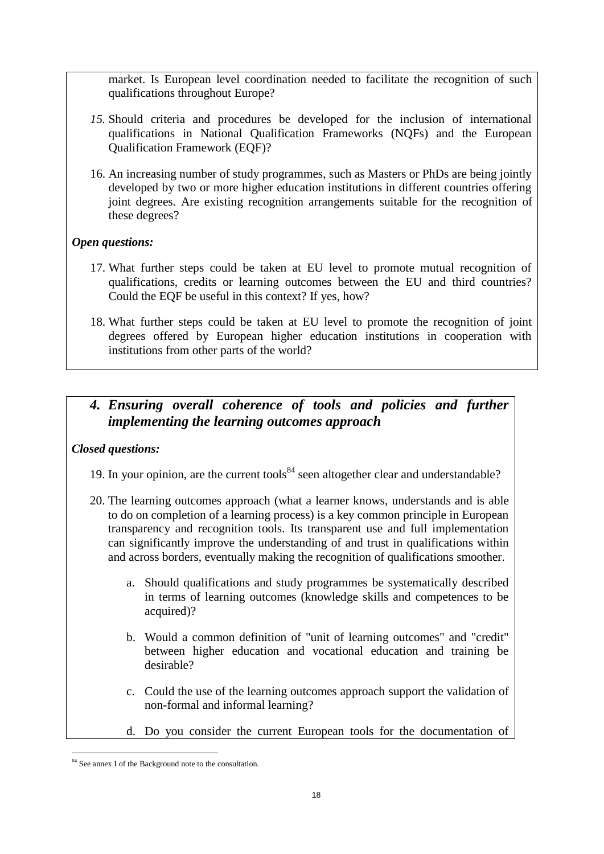market. Is European level coordination needed to facilitate the recognition of such qualifications throughout Europe?

- *15.* Should criteria and procedures be developed for the inclusion of international qualifications in National Qualification Frameworks (NQFs) and the European Qualification Framework (EQF)?
- 16. An increasing number of study programmes, such as Masters or PhDs are being jointly developed by two or more higher education institutions in different countries offering joint degrees. Are existing recognition arrangements suitable for the recognition of these degrees?

### *Open questions:*

- 17. What further steps could be taken at EU level to promote mutual recognition of qualifications, credits or learning outcomes between the EU and third countries? Could the EQF be useful in this context? If yes, how?
- 18. What further steps could be taken at EU level to promote the recognition of joint degrees offered by European higher education institutions in cooperation with institutions from other parts of the world?

# *4. Ensuring overall coherence of tools and policies and further implementing the learning outcomes approach*

### *Closed questions:*

- 19. In your opinion, are the current tools<sup>84</sup> seen altogether clear and understandable?
- 20. The learning outcomes approach (what a learner knows, understands and is able to do on completion of a learning process) is a key common principle in European transparency and recognition tools. Its transparent use and full implementation can significantly improve the understanding of and trust in qualifications within and across borders, eventually making the recognition of qualifications smoother.
	- a. Should qualifications and study programmes be systematically described in terms of learning outcomes (knowledge skills and competences to be acquired)?
	- b. Would a common definition of "unit of learning outcomes" and "credit" between higher education and vocational education and training be desirable?
	- c. Could the use of the learning outcomes approach support the validation of non-formal and informal learning?
	- d. Do you consider the current European tools for the documentation of

 $\overline{a}$ <sup>84</sup> See annex I of the Background note to the consultation.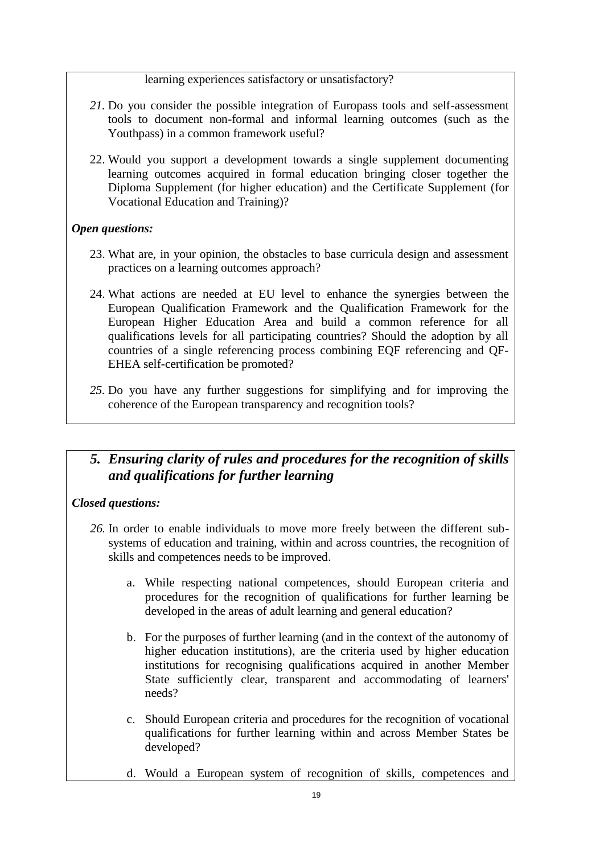learning experiences satisfactory or unsatisfactory?

- *21.* Do you consider the possible integration of Europass tools and self-assessment tools to document non-formal and informal learning outcomes (such as the Youthpass) in a common framework useful?
- 22. Would you support a development towards a single supplement documenting learning outcomes acquired in formal education bringing closer together the Diploma Supplement (for higher education) and the Certificate Supplement (for Vocational Education and Training)?

### *Open questions:*

- 23. What are, in your opinion, the obstacles to base curricula design and assessment practices on a learning outcomes approach?
- 24. What actions are needed at EU level to enhance the synergies between the European Qualification Framework and the Qualification Framework for the European Higher Education Area and build a common reference for all qualifications levels for all participating countries? Should the adoption by all countries of a single referencing process combining EQF referencing and QF-EHEA self-certification be promoted?
- *25.* Do you have any further suggestions for simplifying and for improving the coherence of the European transparency and recognition tools?

# *5. Ensuring clarity of rules and procedures for the recognition of skills and qualifications for further learning*

### *Closed questions:*

- *26.* In order to enable individuals to move more freely between the different subsystems of education and training, within and across countries, the recognition of skills and competences needs to be improved.
	- a. While respecting national competences, should European criteria and procedures for the recognition of qualifications for further learning be developed in the areas of adult learning and general education?
	- b. For the purposes of further learning (and in the context of the autonomy of higher education institutions), are the criteria used by higher education institutions for recognising qualifications acquired in another Member State sufficiently clear, transparent and accommodating of learners' needs?
	- c. Should European criteria and procedures for the recognition of vocational qualifications for further learning within and across Member States be developed?
	- d. Would a European system of recognition of skills, competences and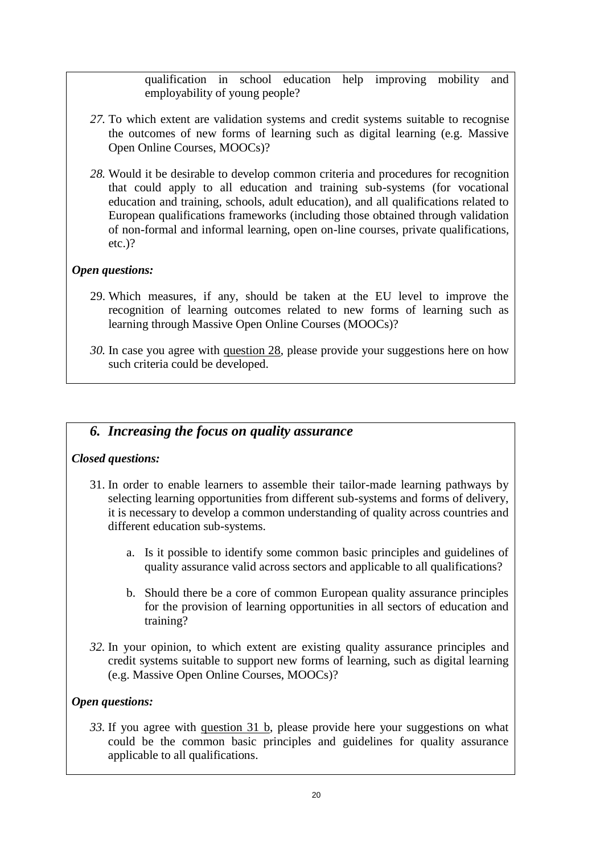qualification in school education help improving mobility and employability of young people?

- *27.* To which extent are validation systems and credit systems suitable to recognise the outcomes of new forms of learning such as digital learning (e.g. Massive Open Online Courses, MOOCs)?
- *28.* Would it be desirable to develop common criteria and procedures for recognition that could apply to all education and training sub-systems (for vocational education and training, schools, adult education), and all qualifications related to European qualifications frameworks (including those obtained through validation of non-formal and informal learning, open on-line courses, private qualifications, etc.)?

### *Open questions:*

- 29. Which measures, if any, should be taken at the EU level to improve the recognition of learning outcomes related to new forms of learning such as learning through Massive Open Online Courses (MOOCs)?
- *30.* In case you agree with question 28, please provide your suggestions here on how such criteria could be developed.

## *6. Increasing the focus on quality assurance*

### *Closed questions:*

- 31. In order to enable learners to assemble their tailor-made learning pathways by selecting learning opportunities from different sub-systems and forms of delivery, it is necessary to develop a common understanding of quality across countries and different education sub-systems.
	- a. Is it possible to identify some common basic principles and guidelines of quality assurance valid across sectors and applicable to all qualifications?
	- b. Should there be a core of common European quality assurance principles for the provision of learning opportunities in all sectors of education and training?
- *32.* In your opinion, to which extent are existing quality assurance principles and credit systems suitable to support new forms of learning, such as digital learning (e.g. Massive Open Online Courses, MOOCs)?

### *Open questions:*

*33.* If you agree with question 31 b, please provide here your suggestions on what could be the common basic principles and guidelines for quality assurance applicable to all qualifications.